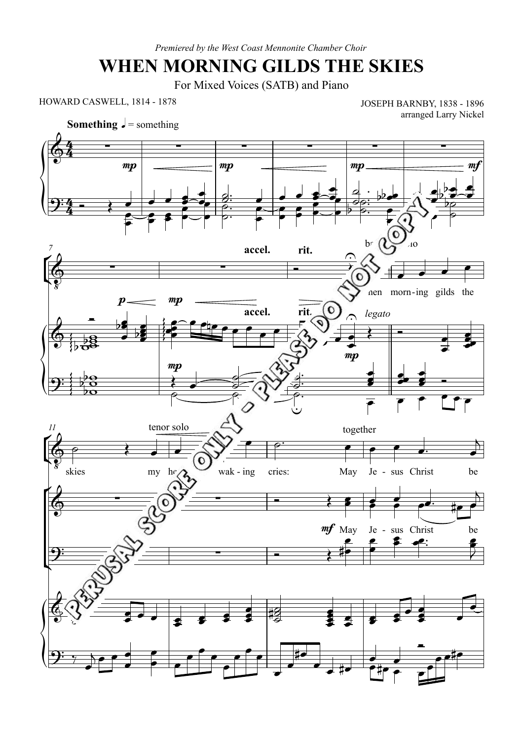## **WHEN MORNING GILDS THE SKIES**

For Mixed Voices (SATB) and Piano

HOWARD CASWELL, 1814 - 1878

**JOSEPH BARNBY, 1838 - 1896** arranged Larry Nickel

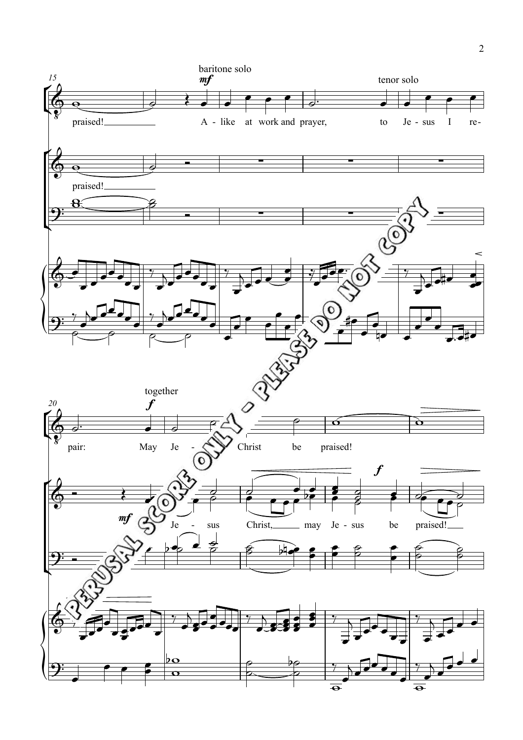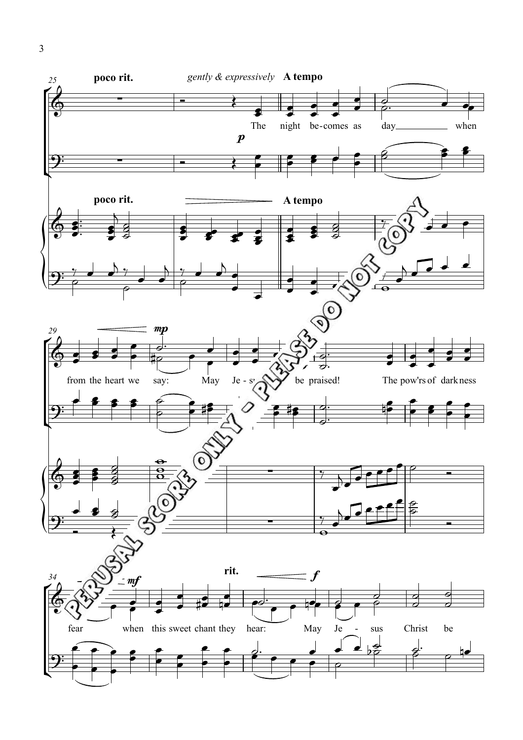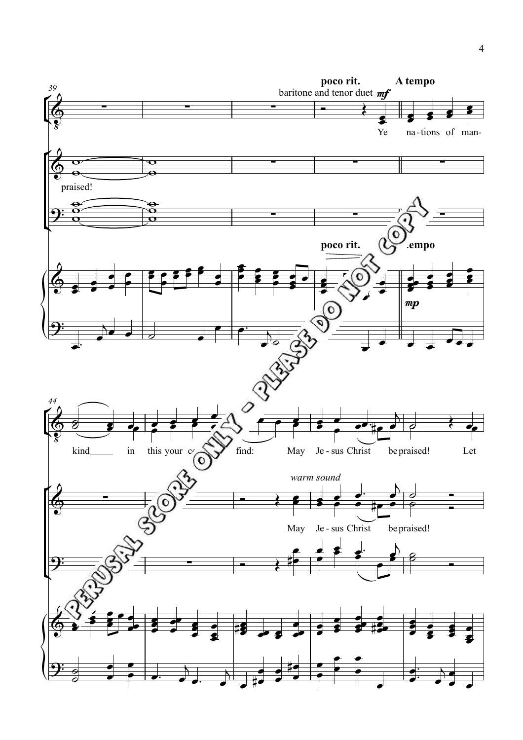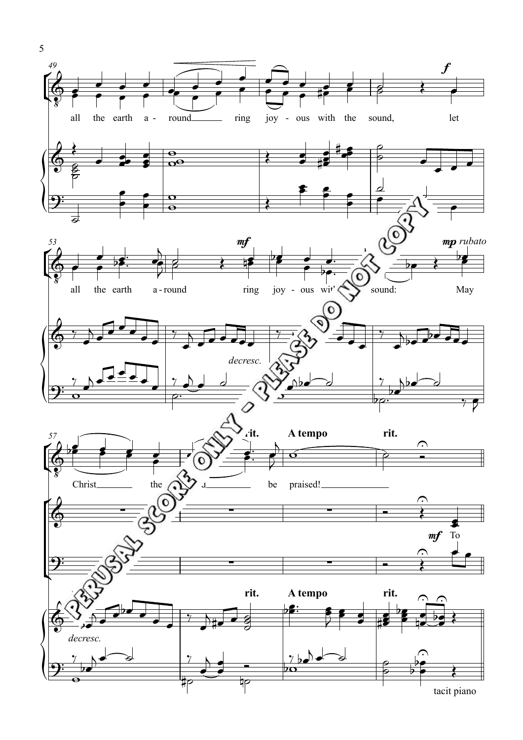